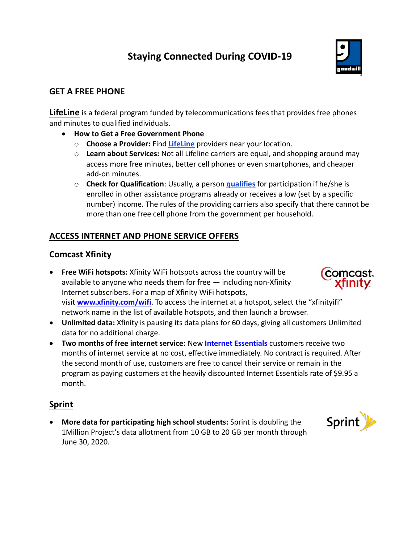# **Staying Connected During COVID-19**



## **GET A FREE PHONE**

**LifeLine** is a federal program funded by telecommunications fees that provides free phones and minutes to qualified individuals.

- **How to Get a Free Government Phone**
	- o **Choose a Provider:** [Find](https://smartprepaidcellphones.com/free-government-phones-near-me/) **LifeLine** providers near your location.
	- o **Learn about Services:** Not all Lifeline carriers are equal, and shopping around may access more free minutes, better cell phones or even smartphones, and cheaper add-on minutes.
	- o **Check for Qualification**: Usually, a person **[qualifies](https://smartprepaidcellphones.com/do-i-qualify-for-a-free-cell-phone/)** for participation if he/she is enrolled in other assistance programs already or receives a low (set by a specific number) income. The rules of the providing carriers also specify that there cannot be more than one free cell phone from the government per household.

## **ACCESS INTERNET AND PHONE SERVICE OFFERS**

#### **Comcast Xfinity**

- **Free WiFi hotspots:** Xfinity WiFi hotspots across the country will be available to anyone who needs them for free  $-$  including non-Xfinity Internet subscribers. For a map of Xfinity WiFi hotspots, visit **[www.xfinity.com/wifi](http://www.xfinity.com/wifi)**. To access the internet at a hotspot, select the "xfinityifi" network name in the list of available hotspots, and then launch a browser.
- **Unlimited data:** Xfinity is pausing its data plans for 60 days, giving all customers Unlimited data for no additional charge.
- **Two months of free internet service:** New **[Internet Essentials](http://www.internetessentials.com/)** customers receive two months of internet service at no cost, effective immediately. No contract is required. After the second month of use, customers are free to cancel their service or remain in the program as paying customers at the heavily discounted Internet Essentials rate of \$9.95 a month.

#### **Sprint**

• **More data for participating high school students:** Sprint is doubling the [1Million Project's](http://www.1millionproject.org/) data allotment from 10 GB to 20 GB per month through June 30, 2020.